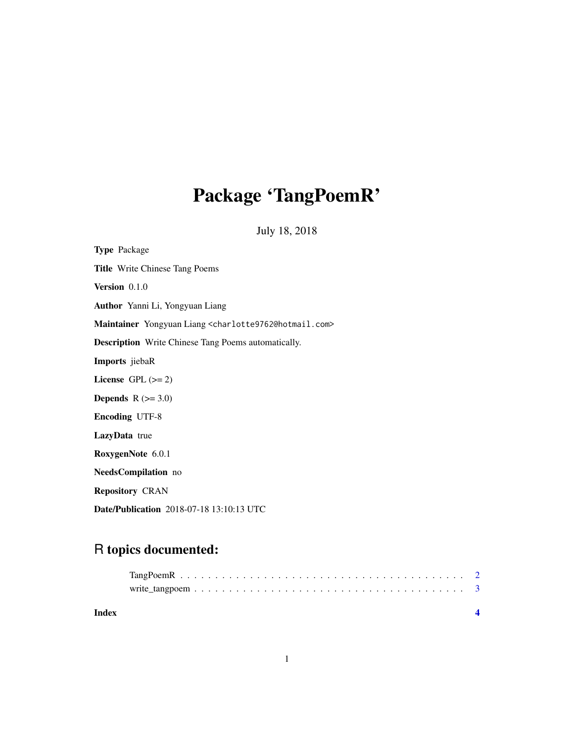# Package 'TangPoemR'

July 18, 2018

| <b>Type Package</b>                                                               |
|-----------------------------------------------------------------------------------|
| <b>Title Write Chinese Tang Poems</b>                                             |
| Version 0.1.0                                                                     |
| Author Yanni Li, Yongyuan Liang                                                   |
| Maintainer Yongyuan Liang <charlotte9762@hotmail.com></charlotte9762@hotmail.com> |
| <b>Description</b> Write Chinese Tang Poems automatically.                        |
| Imports jiebaR                                                                    |
| License GPL $(>= 2)$                                                              |
| <b>Depends</b> $R (=3.0)$                                                         |
| <b>Encoding UTF-8</b>                                                             |
| LazyData true                                                                     |
| RoxygenNote 6.0.1                                                                 |
| NeedsCompilation no                                                               |
| <b>Repository CRAN</b>                                                            |
| Date/Publication 2018-07-18 13:10:13 UTC                                          |

# R topics documented:

| Index |  |
|-------|--|
|       |  |
|       |  |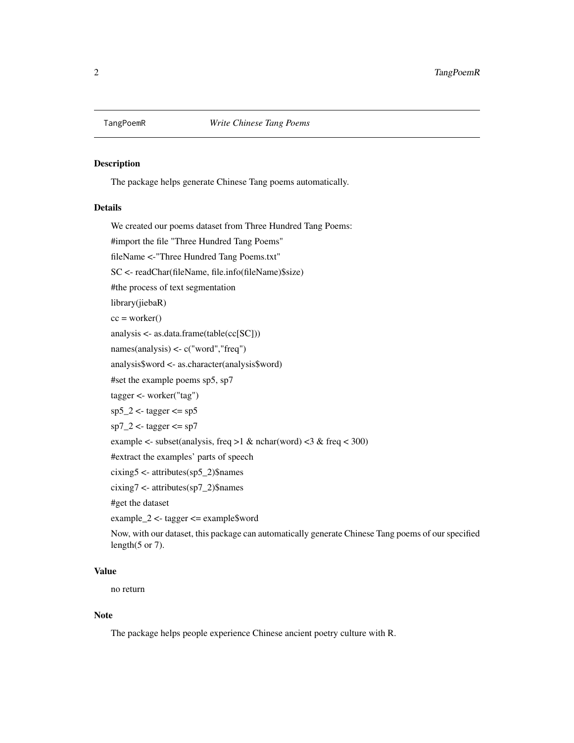<span id="page-1-0"></span>

#### Description

The package helps generate Chinese Tang poems automatically.

#### Details

We created our poems dataset from Three Hundred Tang Poems: #import the file "Three Hundred Tang Poems"

fileName <-"Three Hundred Tang Poems.txt"

SC <- readChar(fileName, file.info(fileName)\$size)

#the process of text segmentation

library(jiebaR)

 $cc = worker()$ 

analysis <- as.data.frame(table(cc[SC]))

names(analysis) <- c("word","freq")

analysis\$word <- as.character(analysis\$word)

#set the example poems sp5, sp7

tagger <- worker("tag")

 $sp5_2$  <- tagger <=  $sp5$ 

```
sp7_2 <- tagger <= sp7
```
example <- subset(analysis, freq >1 & nchar(word) <3 & freq < 300)

#extract the examples' parts of speech

cixing5 <- attributes(sp5\_2)\$names

cixing7 <- attributes(sp7\_2)\$names

#get the dataset

example\_2 <- tagger <= example\$word

Now, with our dataset, this package can automatically generate Chinese Tang poems of our specified length $(5$  or 7).

#### Value

no return

#### Note

The package helps people experience Chinese ancient poetry culture with R.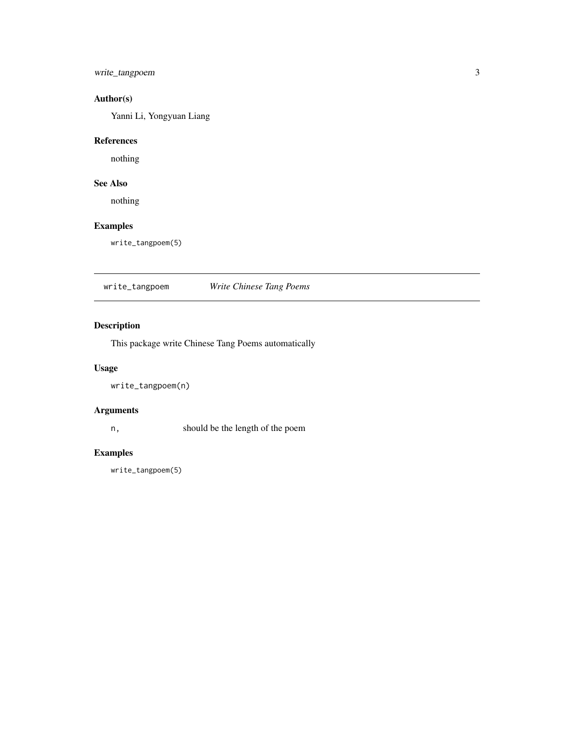## <span id="page-2-0"></span>write\_tangpoem 3

# Author(s)

Yanni Li, Yongyuan Liang

#### References

nothing

# See Also

nothing

#### Examples

write\_tangpoem(5)

write\_tangpoem *Write Chinese Tang Poems*

### Description

This package write Chinese Tang Poems automatically

#### Usage

write\_tangpoem(n)

#### Arguments

n, should be the length of the poem

#### Examples

write\_tangpoem(5)